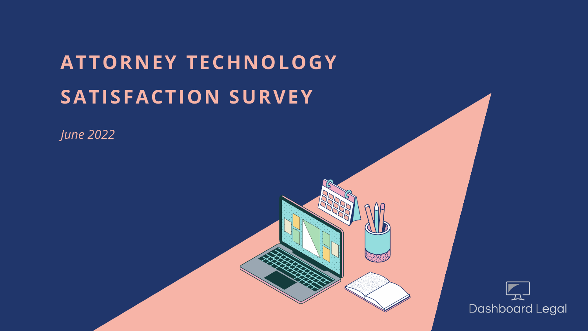# **ATTORNEY TECHNOLOGY SATISFACTION SURVEY**

*June 2022*



## $L_{\!\!{\bf\small L}}^-$ **Dashboard Legal**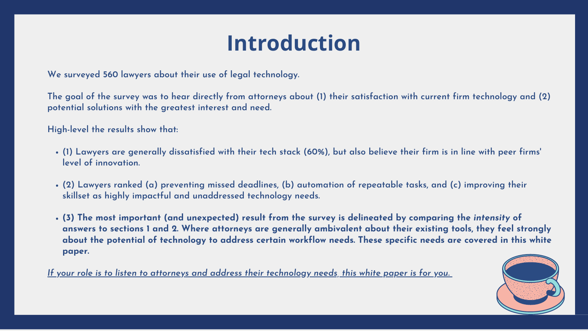- (1) Lawyers are generally dissatisfied with their tech stack (60%), but also believe their firm is in line with peer firms' **level of innovation.**
- **(2) Lawyers ranked (a) preventing missed deadlines, (b) automation of repeatable tasks, and (c) improving their skillset as highly impactful and unaddressed technology needs.**
- (3) The most important (and unexpected) result from the survey is delineated by comparing the intensity of answers to sections 1 and 2. Where attorneys are generally ambivalent about their existing tools, they feel strongly about the potential of technology to address certain workflow needs. These specific needs are covered in this white **paper.**

<u>If your role is to listen to attorneys and address their technology needs, this white paper is for you.</u>



The goal of the survey was to hear directly from attorneys about (1) their satisfaction with current firm technology and (2) **potential solutions with the greatest interest and need.**

**We surveyed 560 lawyers about their use of legal technology.**

**High-level the results show that:**

# **Introduction**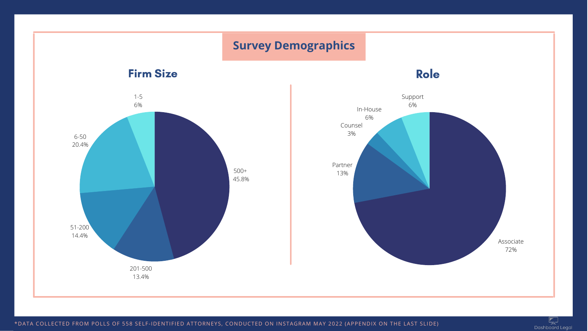\*DATA COLLECTED FROM POLLS OF 558 SELF-IDENTIFIED ATTORNEYS, CONDUCTED ON INSTAGRAM MAY 2022 (APPENDIX ON THE LAST SLIDE)

 $\mathbb{Z}$ Dashboard Legal

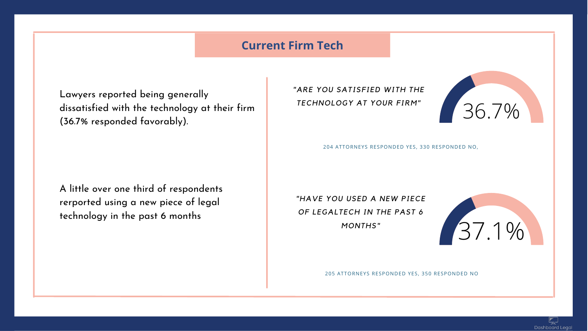Lawyers reported being generally dissatisfied with the technology at their firm (36.7% responded favorably).

A little over one third of respondents rerported using a new piece of legal technology in the past 6 months

*"ARE YOU SATISFIED WITH THE TECHNOLOGY AT YOUR FIRM"*

*"HAVE YOU USED A NEW PIECE OF LEGALTECH IN THE PAST 6 MONTHS"*







204 ATTORNEYS RESPONDED YES, 330 RESPONDED NO,

205 ATTORNEYS RESPONDED YES, 350 RESPONDED NO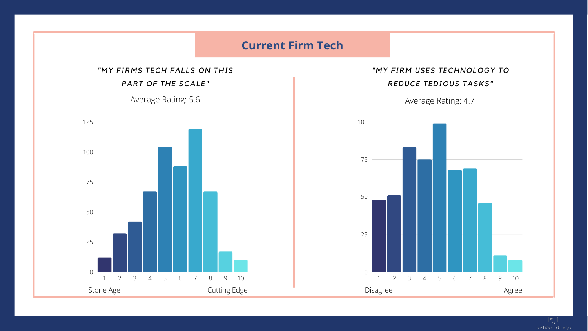

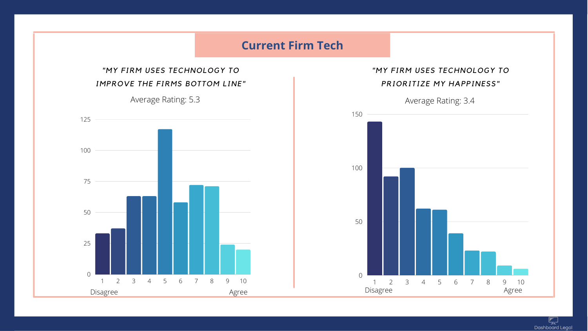

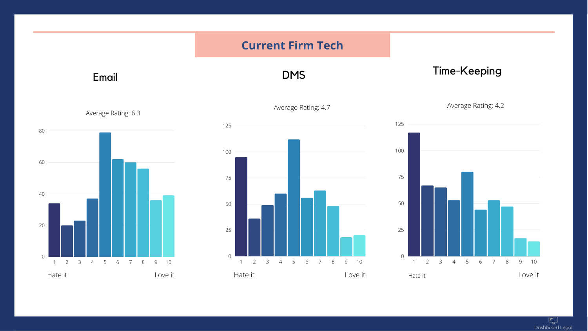





Average Rating: 4.7





### Time-Keeping

Average Rating: 4.2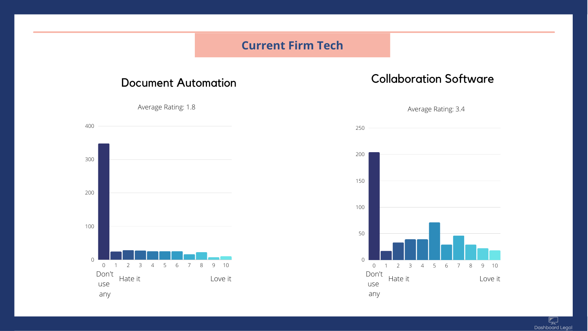### **Current Firm Tech**

### Document Automation

Average Rating: 1.8



### Collaboration Software

Average Rating: 3.4

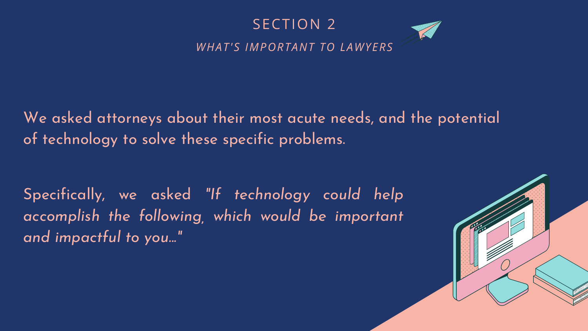Specifically, we asked *"If technology could help accomplish the following, which would be important and impactful to you..."*





We asked attorneys about their most acute needs, and the potential of technology to solve these specific problems.

# SECTION 2 *WHAT'S IMPORTANT TO LAWYERS*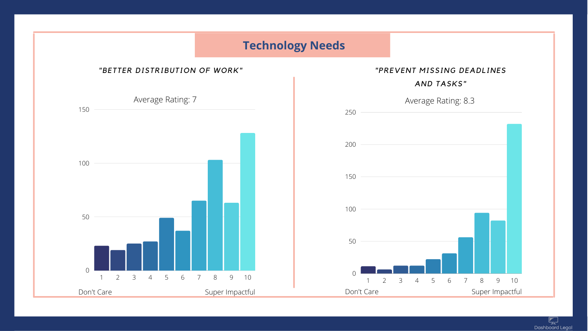## **Technology Needs**



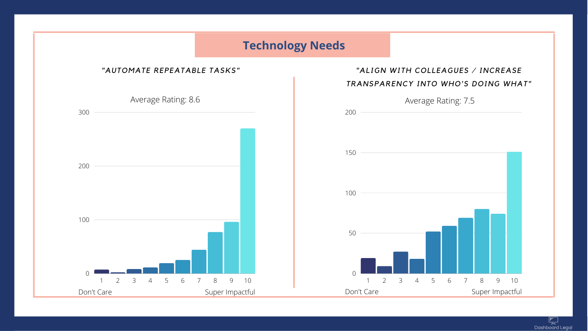**Technology Needs**



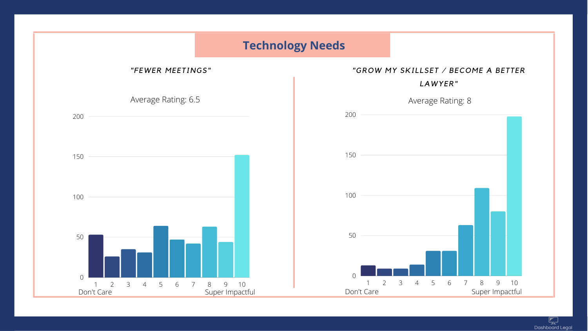## **Technology Needs**



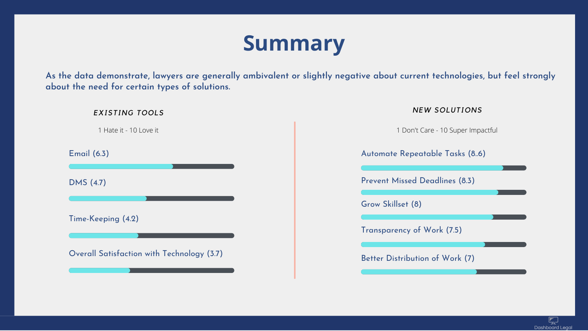As the data demonstrate, lawyers are generally ambivalent or slightly negative about current technologies, but feel strongly **about the need for certain types of solutions.**

Email (6.3)

Better Distribution of Work (7)



Time-Keeping (4.2)

Overall Satisfaction with Technology (3.7)





Automate Repeatable Tasks (8..6)

DMS (4.7) Prevent Missed Deadlines (8.3)

Transparency of Work (7.5)

Grow Skillset (8)

### *EXISTING TOOLS NEW SOLUTIONS*

1 Hate it - 10 Love it 1 Don't Care - 10 Super Impactful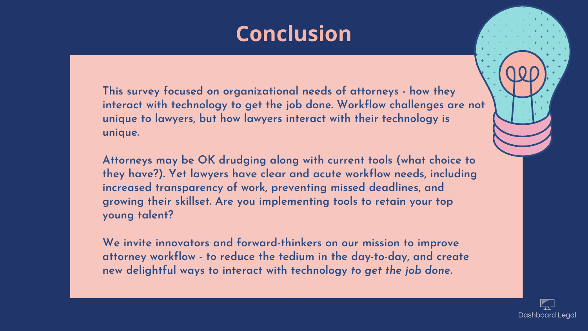**This survey focused on organizational needs of attorneys - how they interact with technology to get the job done. Workflow challenges are not unique to lawyers, but how lawyers interact with their technology is unique.**

**Attorneys may be OK drudging along with current tools (what choice to they have?). Yet lawyers have clear and acute workflow needs, including increased transparency of work, preventing missed deadlines, and growing their skillset. Are you implementing tools to retain your top young talent?**

**We invite innovators and forward-thinkers on our mission to improve attorney workflow - to reduce the tedium in the day-to-day, and create new delightful ways to interact with technology** *to get the job done***.**





# **Conclusion**